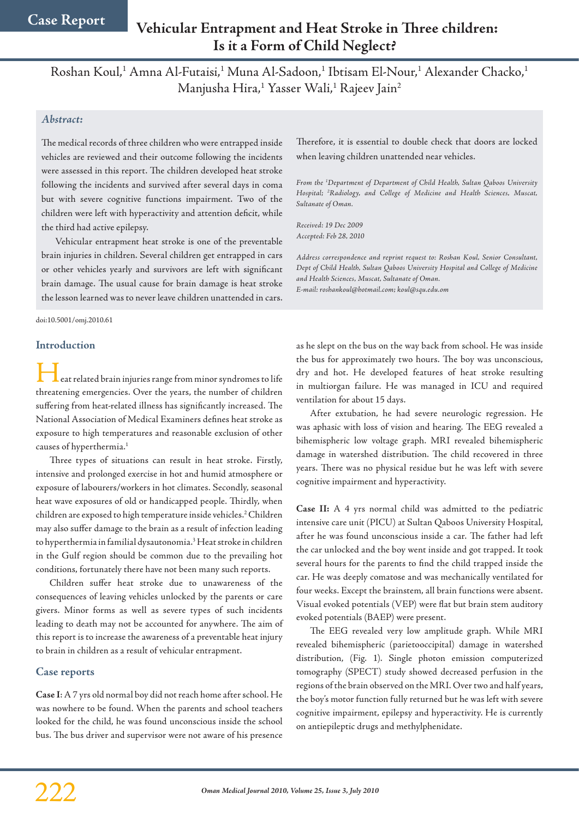# **Vehicular Entrapment and Heat Stroke in Three children: Is it a Form of Child Neglect?**

Roshan Koul,<sup>1</sup> Amna Al-Futaisi,<sup>1</sup> Muna Al-Sadoon,<sup>1</sup> Ibtisam El-Nour,<sup>1</sup> Alexander Chacko,<sup>1</sup> Manjusha Hira,<sup>1</sup> Yasser Wali,<sup>1</sup> Rajeev Jain<sup>2</sup>

## *Abstract:*

The medical records of three children who were entrapped inside vehicles are reviewed and their outcome following the incidents were assessed in this report. The children developed heat stroke following the incidents and survived after several days in coma but with severe cognitive functions impairment. Two of the children were left with hyperactivity and attention deficit, while the third had active epilepsy.

Vehicular entrapment heat stroke is one of the preventable brain injuries in children. Several children get entrapped in cars or other vehicles yearly and survivors are left with significant brain damage. The usual cause for brain damage is heat stroke the lesson learned was to never leave children unattended in cars.

doi:10.5001/omj.2010.61

#### **Introduction**

eat related brain injuries range from minor syndromes to life threatening emergencies. Over the years, the number of children suffering from heat-related illness has significantly increased. The National Association of Medical Examiners defines heat stroke as exposure to high temperatures and reasonable exclusion of other causes of hyperthermia.<sup>1</sup>

Three types of situations can result in heat stroke. Firstly, intensive and prolonged exercise in hot and humid atmosphere or exposure of labourers/workers in hot climates. Secondly, seasonal heat wave exposures of old or handicapped people. Thirdly, when children are exposed to high temperature inside vehicles.2 Children may also suffer damage to the brain as a result of infection leading to hyperthermia in familial dysautonomia.<sup>3</sup> Heat stroke in children in the Gulf region should be common due to the prevailing hot conditions, fortunately there have not been many such reports.

Children suffer heat stroke due to unawareness of the consequences of leaving vehicles unlocked by the parents or care givers. Minor forms as well as severe types of such incidents leading to death may not be accounted for anywhere. The aim of this report is to increase the awareness of a preventable heat injury to brain in children as a result of vehicular entrapment.

## **Case reports**

**Case I**: A 7 yrs old normal boy did not reach home after school. He was nowhere to be found. When the parents and school teachers looked for the child, he was found unconscious inside the school bus. The bus driver and supervisor were not aware of his presence Therefore, it is essential to double check that doors are locked when leaving children unattended near vehicles.

*From the 1 Department of Department of Child Health, Sultan Qaboos University Hospital; 2 Radiology, and College of Medicine and Health Sciences, Muscat, Sultanate of Oman.*

*Received: 19 Dec 2009 Accepted: Feb 28, 2010*

*Address correspondence and reprint request to: Roshan Koul, Senior Consultant, Dept of Child Health, Sultan Qaboos University Hospital and College of Medicine and Health Sciences, Muscat, Sultanate of Oman. E-mail: roshankoul@hotmail.com; koul@squ.edu.om*

as he slept on the bus on the way back from school. He was inside the bus for approximately two hours. The boy was unconscious, dry and hot. He developed features of heat stroke resulting in multiorgan failure. He was managed in ICU and required ventilation for about 15 days.

After extubation, he had severe neurologic regression. He was aphasic with loss of vision and hearing. The EEG revealed a bihemispheric low voltage graph. MRI revealed bihemispheric damage in watershed distribution. The child recovered in three years. There was no physical residue but he was left with severe cognitive impairment and hyperactivity.

**Case II:** A 4 yrs normal child was admitted to the pediatric intensive care unit (PICU) at Sultan Qaboos University Hospital, after he was found unconscious inside a car. The father had left the car unlocked and the boy went inside and got trapped. It took several hours for the parents to find the child trapped inside the car. He was deeply comatose and was mechanically ventilated for four weeks. Except the brainstem, all brain functions were absent. Visual evoked potentials (VEP) were flat but brain stem auditory evoked potentials (BAEP) were present.

The EEG revealed very low amplitude graph. While MRI revealed bihemispheric (parietooccipital) damage in watershed distribution, (Fig. 1). Single photon emission computerized tomography (SPECT) study showed decreased perfusion in the regions of the brain observed on the MRI. Over two and half years, the boy's motor function fully returned but he was left with severe cognitive impairment, epilepsy and hyperactivity. He is currently on antiepileptic drugs and methylphenidate.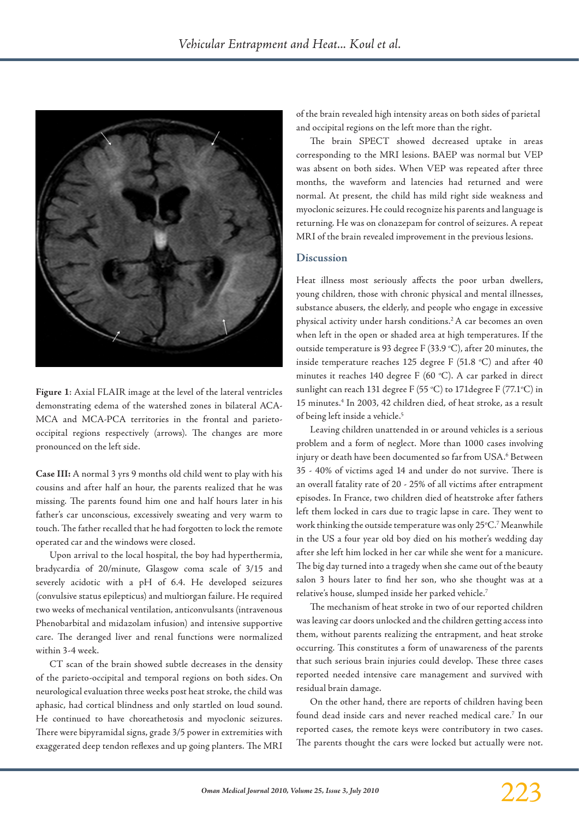

**Figure 1**: Axial FLAIR image at the level of the lateral ventricles demonstrating edema of the watershed zones in bilateral ACA-MCA and MCA-PCA territories in the frontal and parietooccipital regions respectively (arrows). The changes are more pronounced on the left side.

**Case III:** A normal 3 yrs 9 months old child went to play with his cousins and after half an hour, the parents realized that he was missing. The parents found him one and half hours later in his father's car unconscious, excessively sweating and very warm to touch. The father recalled that he had forgotten to lock the remote operated car and the windows were closed.

Upon arrival to the local hospital, the boy had hyperthermia, bradycardia of 20/minute, Glasgow coma scale of 3/15 and severely acidotic with a pH of 6.4. He developed seizures (convulsive status epilepticus) and multiorgan failure. He required two weeks of mechanical ventilation, anticonvulsants (intravenous Phenobarbital and midazolam infusion) and intensive supportive care. The deranged liver and renal functions were normalized within 3-4 week.

CT scan of the brain showed subtle decreases in the density of the parieto-occipital and temporal regions on both sides. On neurological evaluation three weeks post heat stroke, the child was aphasic, had cortical blindness and only startled on loud sound. He continued to have choreathetosis and myoclonic seizures. There were bipyramidal signs, grade 3/5 power in extremities with exaggerated deep tendon reflexes and up going planters. The MRI

of the brain revealed high intensity areas on both sides of parietal and occipital regions on the left more than the right.

The brain SPECT showed decreased uptake in areas corresponding to the MRI lesions. BAEP was normal but VEP was absent on both sides. When VEP was repeated after three months, the waveform and latencies had returned and were normal. At present, the child has mild right side weakness and myoclonic seizures. He could recognize his parents and language is returning. He was on clonazepam for control of seizures. A repeat MRI of the brain revealed improvement in the previous lesions.

#### **Discussion**

Heat illness most seriously affects the poor urban dwellers, young children, those with chronic physical and mental illnesses, substance abusers, the elderly, and people who engage in excessive physical activity under harsh conditions.2 A car becomes an oven when left in the open or shaded area at high temperatures. If the outside temperature is 93 degree F (33.9 °C), after 20 minutes, the inside temperature reaches 125 degree F  $(51.8 °C)$  and after 40 minutes it reaches 140 degree F (60 °C). A car parked in direct sunlight can reach 131 degree F (55 °C) to 171 degree F (77.1 °C) in 15 minutes.4 In 2003, 42 children died, of heat stroke, as a result of being left inside a vehicle.<sup>5</sup>

Leaving children unattended in or around vehicles is a serious problem and a form of neglect. More than 1000 cases involving injury or death have been documented so farfrom USA.6 Between 35 - 40% of victims aged 14 and under do not survive. There is an overall fatality rate of 20 - 25% of all victims after entrapment episodes. In France, two children died of heatstroke after fathers left them locked in cars due to tragic lapse in care. They went to work thinking the outside temperature was only 25°C.<sup>7</sup> Meanwhile in the US a four year old boy died on his mother's wedding day after she left him locked in her car while she went for a manicure. The big day turned into a tragedy when she came out of the beauty salon 3 hours later to find her son, who she thought was at a relative's house, slumped inside her parked vehicle.7

The mechanism of heat stroke in two of our reported children was leaving car doors unlocked and the children getting access into them, without parents realizing the entrapment, and heat stroke occurring. This constitutes a form of unawareness of the parents that such serious brain injuries could develop. These three cases reported needed intensive care management and survived with residual brain damage.

On the other hand, there are reports of children having been found dead inside cars and never reached medical care.7 In our reported cases, the remote keys were contributory in two cases. The parents thought the cars were locked but actually were not.